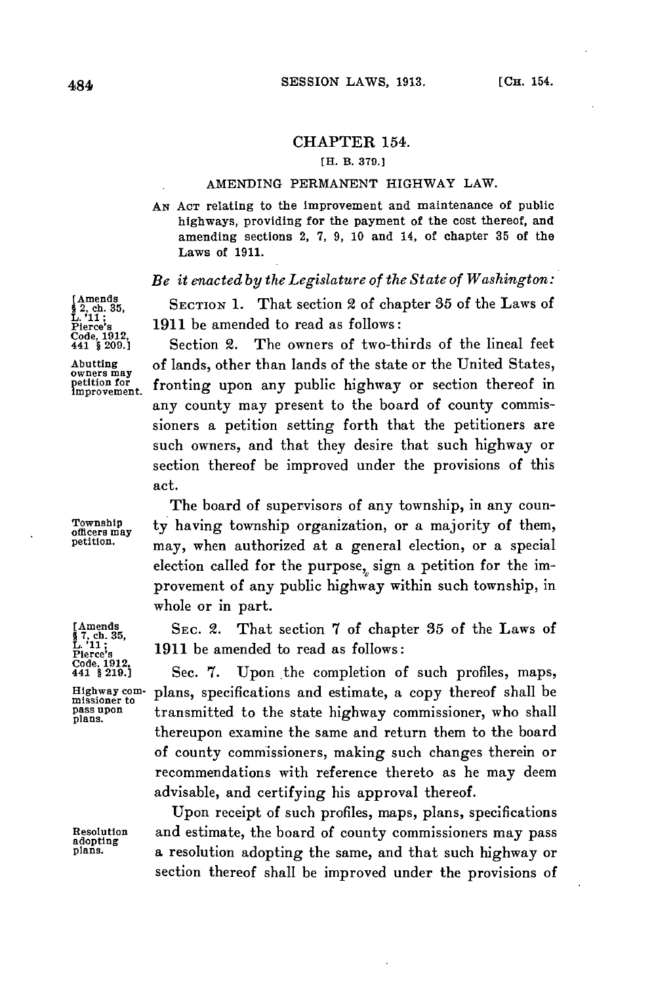# CHAPTER 154.

## [H. B. **379.1**

#### AMENDING **PERMANENT** HIGHWAY LAW.

*AN* **ACT** relating to the Improvement and maintenance of public highways, providing for the payment of the cost thereof, and amending sections 2, **7, 9, 10** and 14, of chapter **35** of the Laws of **1911.**

# *Be it enacted by the Legislature of the State of Washington:*

[Amends<br>§ 2, ch. 35, **SECTION 1.** That section 2 of chapter 35 of the Laws of<br>L<sup>11</sup><sub>L</sub>.<sup>11</sup><sub>L</sub>.<sup>1</sup><br>Pierce's 1911 be amended to read as follows: 1911 be amended to read as follows:

**Section 2.** The owners of two-thirds of the lineal feet **Abutting** of lands, other than lands of the state or the United States, **owners may** fronting upon any public highway or section thereof in any county may present to the board of county commissioners a petition setting forth that the petitioners are such owners, and that they desire that such highway or section thereof be improved under the provisions of this act.

The board of supervisors of any township, in any coun-Township **ty** having township organization, or a majority of them, may, when authorized at a general election, or a special election called for the purpose, sign a petition for the improvement of any public highway within such township, in whole or in part.

**[Amends SEC.** 2. That section **7** of chapter **85** of the Laws of **§7, ch. 35,**  $\frac{L^{111}}{200}$ ;  $\frac{1911}{200}$  **Pierce's** 1912,<br>  $\frac{1912}{441}$ ,  $\frac{1912}{421}$ ,  $\frac{1912}{219}$ ,  $\frac{1912}{219}$ ,  $\frac{1912}{219}$ ,  $\frac{1912}{219}$ 

Sec. 7. Upon the completion of such profiles, maps, **Highway com-** plans, specifications and estimate, a copy thereof shall be **missioner to pass upon** transmitted to the state highway commissioner, who shall **plans.** thereupon examine the same and return them to the board of county commissioners, making such changes therein or recommendations with reference thereto as he may deem advisable, and certifying his approval thereof.

Upon receipt of such profiles, maps, plans, specifications **Resolution** and estimate, the board of county commissioners may pass **adopting plans.** a resolution adopting the same, and that such highway or section thereof shall be improved under the provisions of

**Code, 1912,**

8 7, ch. 35,<br>L. '11;<br>Pierce's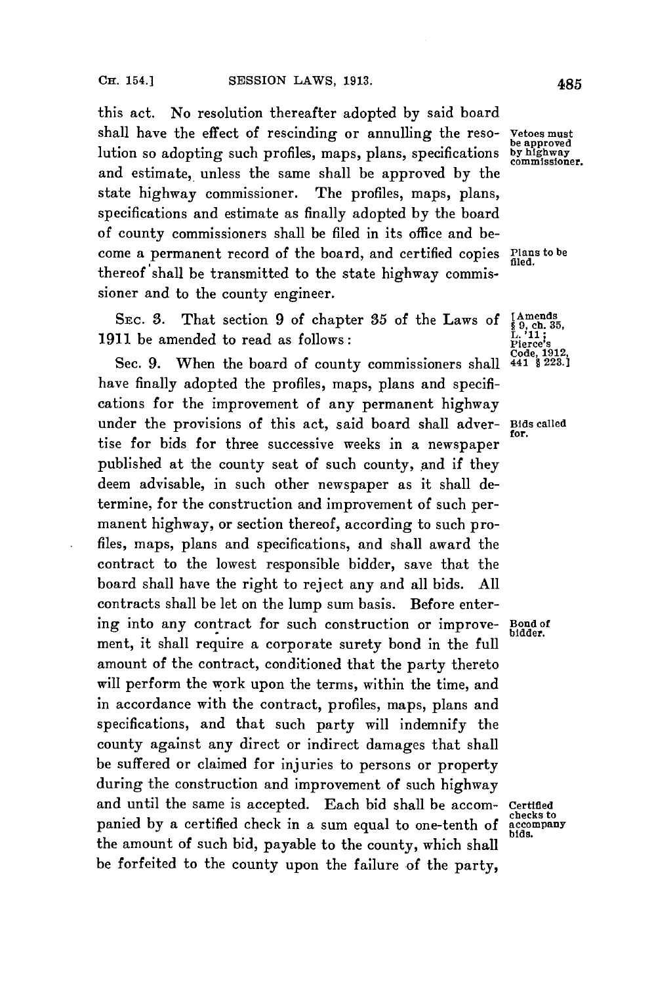this act. No resolution thereafter adopted **by** said board shall have the effect of rescinding or annulling the reso- **Vetoes must** be approved lution so adopting such profiles, maps, plans, specifications **by highway commissioner.** and estimate, unless the same shall be approved **by** the state highway commissioner. The profiles, maps, plans, specifications and estimate as finally adopted **by** the board of county commissioners shall be filed in its office and become a permanent record of the board, and certified copies Plans **to be** thereof 'shall be transmitted to the state highway commissioner and to the county engineer.

SEC. 3. That section 9 of chapter 35 of the Laws of  $\begin{array}{l} \text{[Amends]} \\ \text{[A.1]} \\ \text{[A.1]} \\ \text{[A.2]} \\ \text{[B.3]} \\ \text{[A.3]} \end{array}$ 1911 be amended to read as follows:

Sec. 9. When the board of county commissioners shall have finally adopted the profiles, maps, plans and specifications for the improvement of any permanent highway under the provisions of this act, said board shall adver- **Bids called for.** tise for bids for three successive weeks in a newspaper published at the county seat of such county, and if they deem advisable, in such other newspaper as it shall determine, for the construction and improvement of such permanent highway, or section thereof, according to such profiles, maps, plans and specifications, and shall award the contract to the lowest responsible bidder, save that the board shall have the right to reject any and all bids. **All** contracts shall be let on the lump sum basis. Before entering into any contract for such construction or improvement, it shall require a corporate surety bond in the full amount of the contract, conditioned that the party thereto will perform the work upon the terms, within the time, and in accordance with the contract, profiles, maps, plans and specifications, and that such party will indemnify the county against any direct or indirect damages that shall be suffered or claimed for injuries to persons or property during the construction and improvement of such highway and until the same is accepted. Each bid shall be accom- **Certified** panied by a certified check in a sum equal to one-tenth of accompany the amount of such bid, payable to the county, which shall be forfeited to the county upon the failure of the party,

**Code, 1912,**

**bidder.**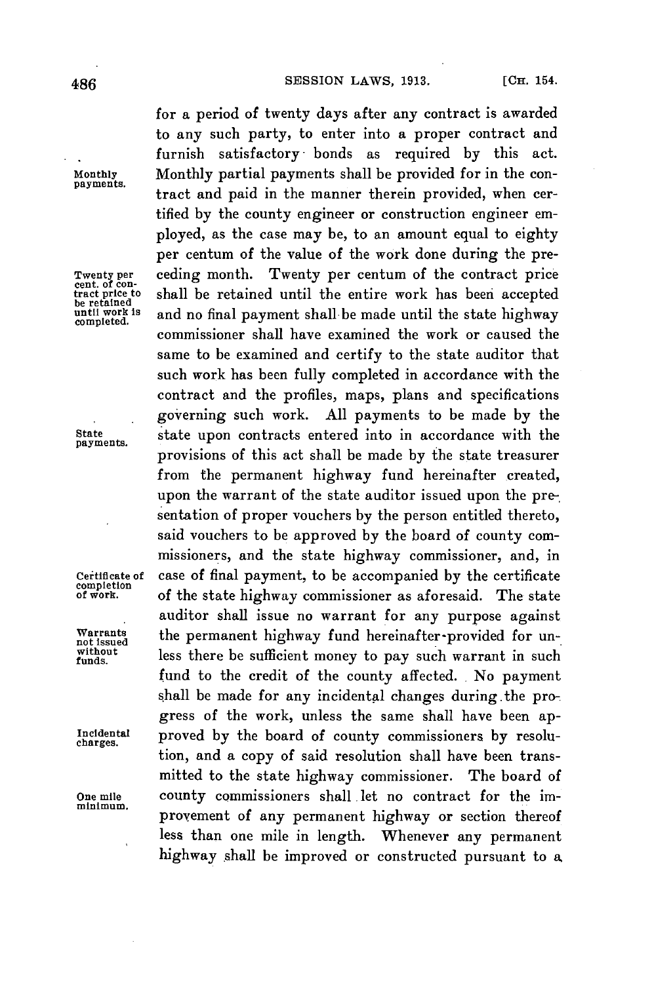**payments.**

**payments.**

**completion**

for a period of twenty days after any contract is awarded to any such party, to enter into a proper contract and furnish satisfactory- bonds as required **by** this act. **Monthly** Monthly partial payments shall be provided for in the contract and paid in the manner therein provided, when certified **by** the county engineer or construction engineer employed, as the case may be, to an amount equal to eighty per centum of the value of the work done during the pre-**Twenty per** ceding month. Twenty per centum of the contract price **cent. of con- tract price to** shall be retained until the entire work has been accepted **be retained until work is** and no final payment shall be made until the state highway **completed.** commissioner shall have examined the work or caused the same to be examined and certify to the state auditor that such work has been fully completed in accordance with the contract and the profiles, maps, plans and specifications governing such work. **All** payments to be made **by** the **State** state upon contracts entered into in accordance with the provisions of this act shall be made **by** the state treasurer from the permanent highway fund hereinafter created, upon the warrant of the state auditor issued upon the presentation of proper vouchers **by** the person entitled thereto, said vouchers to be approved **by** the board of county commissioners, and the state highway commissioner, and, in **Certificate of** case of final payment, to be accompanied **by** the certificate of the state highway commissioner as aforesaid. The state auditor shall issue no warrant for any purpose against Warrants **the permanent highway fund hereinafter-provided for un-**<br>
without less there be sufficient money to pay such warrant in such<br> **r**unds. fund to the credit of the county affected. **.** No payment shall be made for any incidental changes during.the progress of the work, unless the same shall have been ap-Incidental **proved** by the board of county commissioners by resolution, and a copy of said resolution shall have been transmitted to the state highway commissioner. The board of **One mile** county commissioners shall .let no contract for the improvement of any permanent highway or section thereof less than one mile in length. Whenever any permanent highway shall be improved or constructed pursuant to a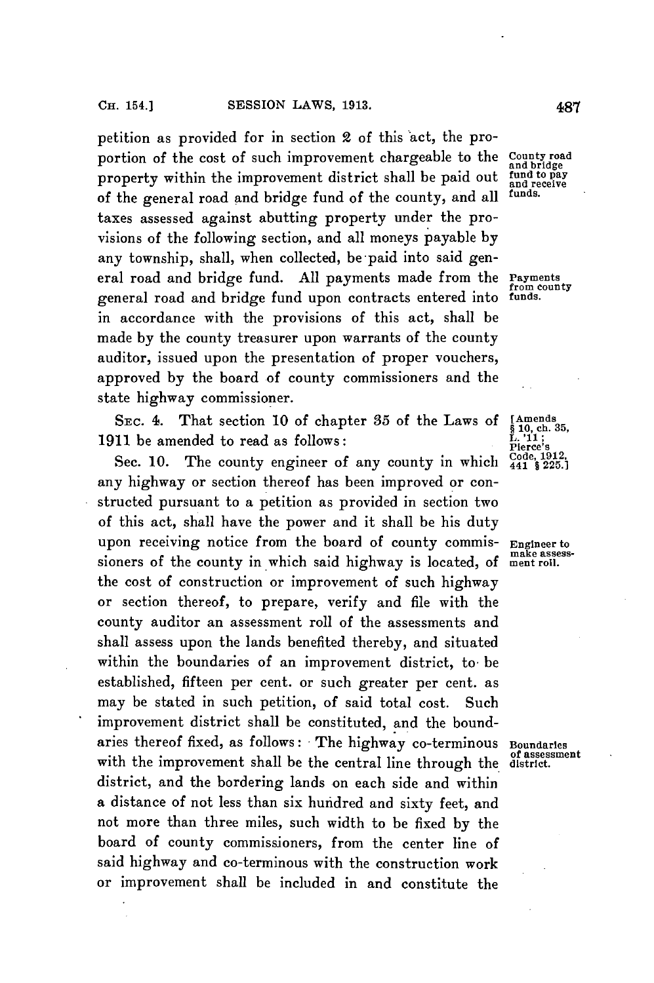petition as provided for in section 2 of this act, the proportion of the cost of such improvement chargeable to the **County road**<br>and bridge<br>pay to pay property within the improvement district shall be paid out fund to pay of the general road and bridge fund of the county, and all **funds.** taxes assessed against abutting property under the provisions of the following section, and all moneys payable **by** any township, shall, when collected, be paid into said general road and bridge fund. **All** payments made from the **Payments** general road and bridge fund upon contracts entered into **funds.** in accordance with the provisions of this act, shall be made **by** the county treasurer upon warrants of the county auditor, issued upon the presentation of proper vouchers, approved **by** the board of county commissioners and the state highway commissioner.

SEC. 4. That section 10 of chapter 35 of the Laws of **[Amends §** 10, ch. 35,<br>11 be amended to read as follows:<br>Figure **19.** 

**1911** be amended to read as follows:<br> **1911** be amended to read as follows:<br> **1912** Sec. 10. The county engineer of any county in which  $\frac{Code.1912}{4418225.1925}$ Sec. 10. The county engineer of any county in which any highway or section thereof has been improved or constructed pursuant to a petition as provided in section two of this act, shall have the power and it shall be his duty upon receiving notice from the board of county commis- **Engineer to** sioners of the county in which said highway is located, of ment roll. the cost of construction or improvement of such highway or section thereof, to prepare, verify and file with the county auditor an assessment roll of the assessments and shall assess upon the lands benefited thereby, and situated within the boundaries of an improvement district, to be established, fifteen per cent. or such greater per cent. as may be stated in such petition, of said total cost. Such improvement district shall be constituted, and the boundaries thereof fixed, as follows: The highway co-terminous **Boundaries** with the improvement shall be the central line through the district. district, and the bordering lands on each side and within a distance of not less than six hundred and sixty feet, and not more than three miles, such width to be fixed **by** the board of county commissioners, from the center line of said highway and co-terminous with the construction work or improvement shall be included in and constitute the

from county<br>funds.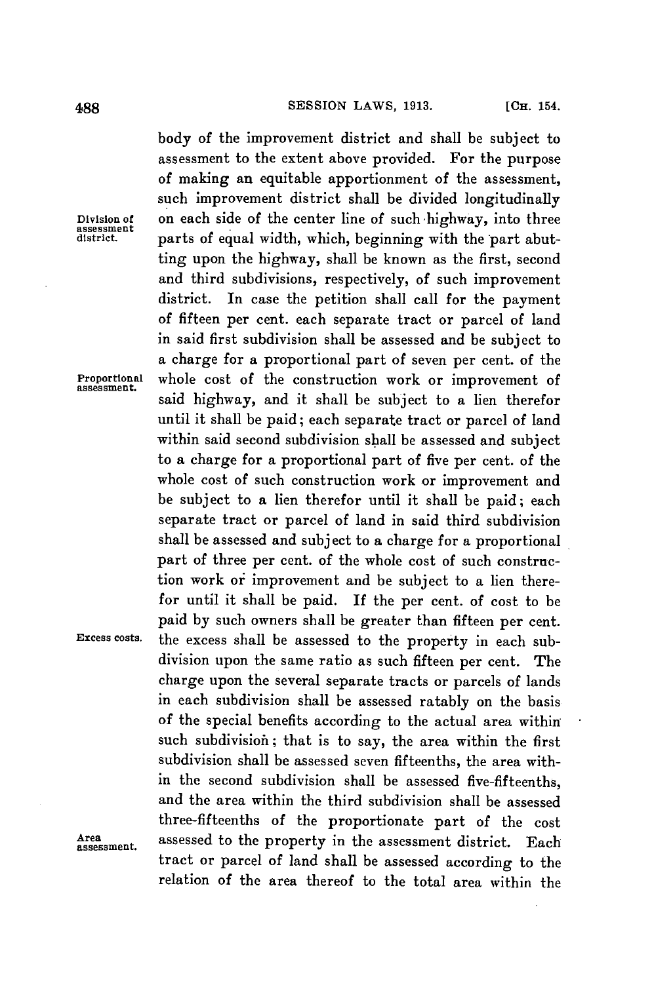body of the improvement district and shall be subject to assessment to the extent above provided. For the purpose of making an equitable apportionment of the assessment, such improvement district shall be divided longitudinally **Division of** on each side of the center line of such'highway, into three parts of equal width, which, beginning with the part abutting upon the highway, shall be known as the first, second and third subdivisions, respectively, of such improvement district. In case the petition shall call for the payment of fifteen per cent. each separate tract or parcel of land in said first subdivision shall be assessed and be subject to a charge for a proportional part of seven per cent. of the Proportional whole cost of the construction work or improvement of said highway, and it shall be subject to a lien therefor until it shall be paid; each separate tract or parcel of land within said second subdivision shall be assessed and subject to a charge for a proportional part of five per cent. of the whole cost of such construction work or improvement and be subject to a lien therefor until it shall be paid; each separate tract or parcel of land in said third subdivision shall be assessed and subject to a charge **for** a proportional part of three per cent. of the whole cost of such construction work or improvement and be subject to a lien therefor until it shall be paid. If the per cent. of cost to be paid **by** such owners shall be greater than fifteen per cent. **Excess costs.** the excess shall be assessed to the property in each subdivision upon the same ratio as such fifteen per cent. The charge upon the several separate tracts or parcels of lands in each subdivision shall be assessed ratably on the basis of the special benefits according to the actual area within such subdivision; that is to say, the area within the first subdivision shall be assessed seven fifteenths, the area within the second subdivision shall be assessed five-fifteenths, and the area within the third subdivision shall be assessed three-fifteentbs of the proportionate part of the cost assessed to the property in the assessment district, Each tract or parcel of land shall be assessed according to the relation of the area thereof to the total area within the

**assessment**

**Area assessment.**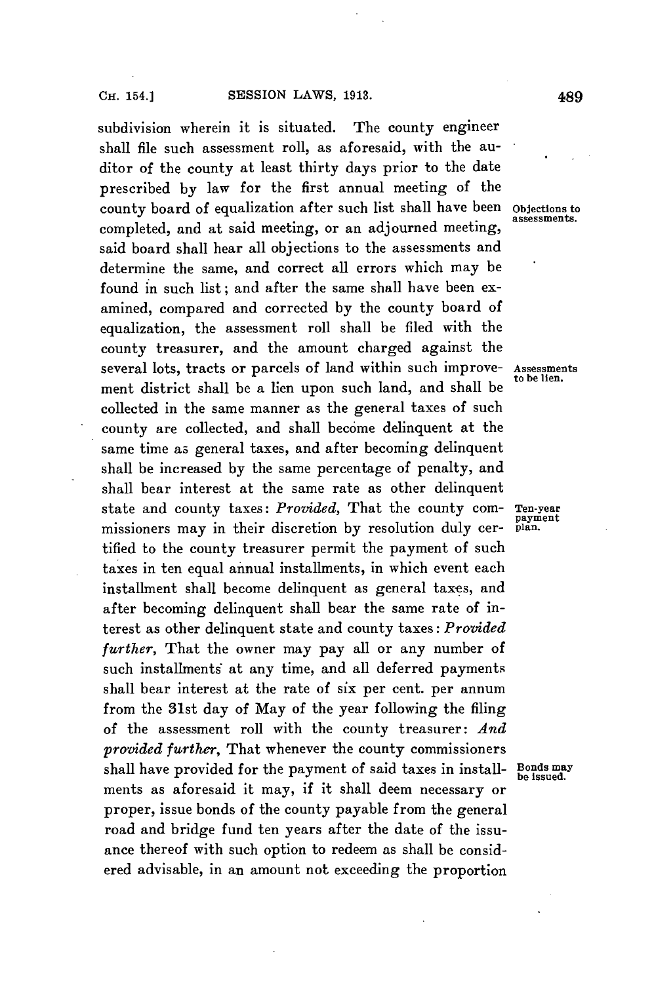subdivision wherein it is situated. The county engineer shall file such assessment roll, as aforesaid, with the auditor of the county at least thirty days prior to the date prescribed **by** law for the first annual meeting of the county board of equalization after such list shall have been objections to completed, and at said meeting, or an adjourned meeting, said board shall hear all objections to the assessments and determine the same, and correct all errors which may be found in such list; and after the same shall have been examined, compared and corrected **by** the county board of equalization, the assessment roll shall be filed with the county treasurer, and the amount charged against the several lots, tracts or parcels of land within such improve- Assessments ment district shall be a lien upon such land, and shall be collected in the same manner as the general taxes of such county are collected, and shall become delinquent at the same time as general taxes, and after becoming delinquent shall be increased **by** the same percentage of penalty, and shall bear interest at the same rate as other delinquent state and county taxes: *Provided*, That the county com- Ten-year<br>missioners may in their discretion by resolution duly cer- plan. missioners may in their discretion by resolution duly certified to the county treasurer permit the payment of such taxes in ten equal annual installments, in which event each installment shall become delinquent as general taxes, and after becoming delinquent shall bear the same rate of interest as other delinquent state and county taxes: *Provided further,* That the owner may pay all or any number of such installments at any time, and all deferred payments shall bear interest at the rate of six per cent. per annum from the 31st day of May of the year following the filing of the assessment roll with the county treasurer: *And provided further,* That whenever the county commissioners shall have provided for the payment of said taxes in install- Bonds may ments as aforesaid it may, if it shall deem necessary or proper, issue bonds of the county payable from the general road and bridge fund ten years after the date of the issuance thereof with such option to redeem as shall be considered advisable, in an amount not exceeding the proportion

assessments.

to be lien.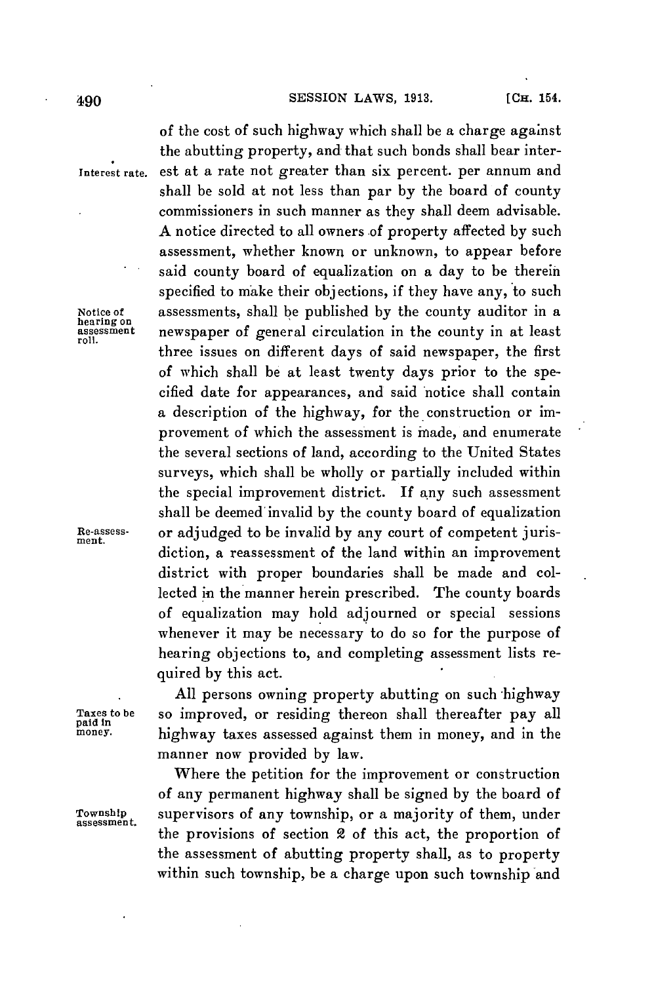## 490 **SESSION** LAWS, **1913.** [CHa. 154.

of the cost of such highway which shall be a charge against the abutting property, and that such bonds shall bear inter-

shall be sold at not less than par **by** the board of county commissioners in such manner as they shall deem advisable. **A** notice directed to all owners .of property affected **by** such assessment, whether known or unknown, to appear before said county board of equalization on a day to be therein specified to make their objections, if they have any, to such

three issues on different days of said newspaper, the first of which shall be at least twenty days prior to the specified date for appearances, and said notice shall contain a description of the highway, for the construction or improvement of which the assessment is made, and enumerate the several sections of land, according to the United States surveys, which shall be wholly or partially included within the special improvement district. If any such assessment shall be deemed invalid **by** the county board of equalization

**Interest rate.** est at a rate not greater than six percent. per annum and

**Notice of** assessments, shall be published **by** the county auditor in a **hearing on assessment** newspaper of general circulation in the county in at least

**Re-assess-** or adjudged to be invalid **by** any court of competent juris-

quired **by** this act.

**All** persons owning property abutting on such highway Taxes to be **so improved, or residing thereon shall thereafter pay all**  $\text{pald in}$ <br>
paid In **In paid In paid In paid In paid In paid In paid In paid In paid In paid In paid** In **paid In paid In paid money.** highway taxes assessed against them in money, and in the manner now provided **by** law.

diction, a reassessment of the land within an improvement district with proper boundaries shall be made and collected in the manner herein prescribed. The county boards of equalization may hold adjourned or special sessions whenever it may be necessary to do so for the purpose of hearing objections to, and completing assessment lists re-

Where the petition for the improvement or construction of any permanent highway shall be signed **by** the board of **Township** supervisors of any township, or a majority of them, under the provisions of section 2 of this act, the proportion of the assessment of abutting property shall, as to property within such township, be a charge upon such township and

**assessment.**